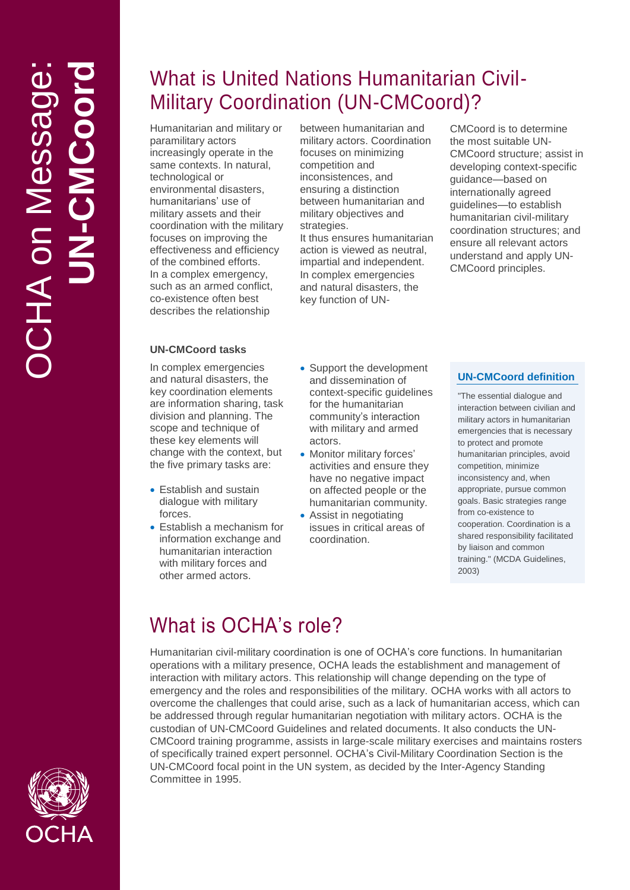## What is United Nations Humanitarian Civil - Military Coordination (UN -CMCoord) ?

Humanitarian and military or paramilitary actors increasingly operate in the same contexts . In natural, technological or environmental disasters, humanitarians' use of military assets and their coordination with the military focuses on improving the effectiveness and efficiency of the combined efforts. In a complex emergency, such as an armed conflict, co -existence often best describes the relationship

#### **UN -CMCoord tasks**

In complex emergencies and natural disasters, the key coordination elements are information sharing, task division and planning. The scope and technique of these key elements will change with the context , but the five primary tasks are:

- Establish and sustain dialogue with military forces.
- Establish a mechanism for information exchange and humanitarian interaction with military forces and other armed actors.

between humanitarian and military actors. Coordination focuses on minimizing competition and inconsistences , and ensuring a distinction between humanitarian and military objectives and strategies .

It thus ensure s humanitarian action is viewed as neutral, impartial and independent. In complex emergencies and natural disasters, the key function of UN -

CMCoord is to determine the most suitable UN - CMCoord structure ; assist in developing context -specific guidance —based on internationally agreed guidelines —to establish humanitarian civil -military coordination structures ; and ensure all relevant actors understand and apply UN - CMCoord principles.

- Support the development and dissemination of context -specific guidelines for the humanitarian community's interaction with military and armed actors.
- Monitor military forces' activities and ensure they have no negative impact on affected people or the humanitarian community.
- Assist in negotiating issues in critical areas of coordination.

#### **UN -CMCoord definition**

"The essential dialogue and interaction between civilian and military actors in humanitarian emergencies that is necessary to protect and promote humanitarian principles, avoid competition, minimize inconsistency and, when appropriate, pursue common goals. Basic strategies range from co -existence to cooperation. Coordination is a shared responsibility facilitated by liaison and common training." (MCDA Guidelines, 200 3 )

## What is OCHA's role?

Humanitarian civil-military coordination is one of OCHA's core functions. In humanitarian operations with a military presence, OCHA leads the establishment and management of interaction with military actors. This relationship will change depending on the type of emergency and the roles and responsibilities of the military. OCHA works with all actors to overcome the challenges that could arise, such as a lack of humanitarian access, which can be addressed through regular humanitarian negotiation with military actors . OCHA is the custodian of UN-CMCoord Guidelines and related documents. It also conducts the UN-CMCoord training programme, assists in large -scale military exercises and maintains rosters of specifically trained expert personnel . OCHA's Civil -Military Coordination Section is the UN -CMCoord focal point in the UN system, as decided by the Inter -Agency Standing Committee in 1995.